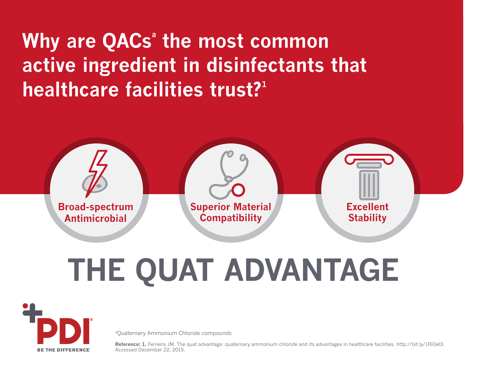# **Why are QACs<sup>®</sup> the most common active ingredient in disinfectants that healthcare facilities trust?**<sup>1</sup>



# **THE QUAT ADVANTAGE**



aQuaternary Ammonium Chloride compounds

**Reference: 1.** Ferreira JM. The quat advantage: quaternary ammonium chloride and its advantages in healthcare facilities. http://bit.ly/1RiOe0l. Accessed December 22, 2015.